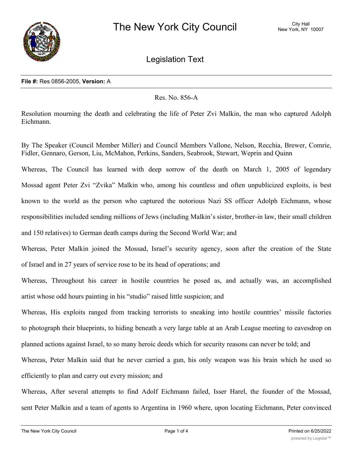

Legislation Text

## **File #:** Res 0856-2005, **Version:** A

Res. No. 856-A

Resolution mourning the death and celebrating the life of Peter Zvi Malkin, the man who captured Adolph Eichmann.

By The Speaker (Council Member Miller) and Council Members Vallone, Nelson, Recchia, Brewer, Comrie, Fidler, Gennaro, Gerson, Liu, McMahon, Perkins, Sanders, Seabrook, Stewart, Weprin and Quinn

Whereas, The Council has learned with deep sorrow of the death on March 1, 2005 of legendary Mossad agent Peter Zvi "Zvika" Malkin who, among his countless and often unpublicized exploits, is best known to the world as the person who captured the notorious Nazi SS officer Adolph Eichmann, whose responsibilities included sending millions of Jews (including Malkin's sister, brother-in law, their small children and 150 relatives) to German death camps during the Second World War; and

Whereas, Peter Malkin joined the Mossad, Israel's security agency, soon after the creation of the State of Israel and in 27 years of service rose to be its head of operations; and

Whereas, Throughout his career in hostile countries he posed as, and actually was, an accomplished artist whose odd hours painting in his "studio" raised little suspicion; and

Whereas, His exploits ranged from tracking terrorists to sneaking into hostile countries' missile factories to photograph their blueprints, to hiding beneath a very large table at an Arab League meeting to eavesdrop on planned actions against Israel, to so many heroic deeds which for security reasons can never be told; and

Whereas, Peter Malkin said that he never carried a gun, his only weapon was his brain which he used so efficiently to plan and carry out every mission; and

Whereas, After several attempts to find Adolf Eichmann failed, Isser Harel, the founder of the Mossad, sent Peter Malkin and a team of agents to Argentina in 1960 where, upon locating Eichmann, Peter convinced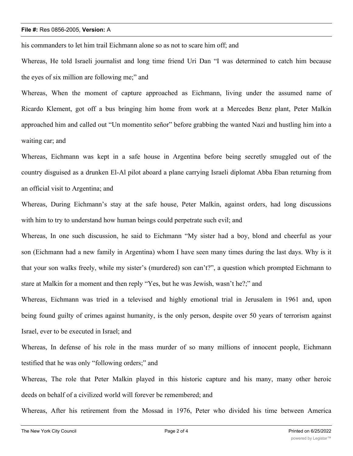## **File #:** Res 0856-2005, **Version:** A

his commanders to let him trail Eichmann alone so as not to scare him off; and

Whereas, He told Israeli journalist and long time friend Uri Dan "I was determined to catch him because the eyes of six million are following me;" and

Whereas, When the moment of capture approached as Eichmann, living under the assumed name of Ricardo Klement, got off a bus bringing him home from work at a Mercedes Benz plant, Peter Malkin approached him and called out "Un momentito señor" before grabbing the wanted Nazi and hustling him into a waiting car; and

Whereas, Eichmann was kept in a safe house in Argentina before being secretly smuggled out of the country disguised as a drunken El-Al pilot aboard a plane carrying Israeli diplomat Abba Eban returning from an official visit to Argentina; and

Whereas, During Eichmann's stay at the safe house, Peter Malkin, against orders, had long discussions with him to try to understand how human beings could perpetrate such evil; and

Whereas, In one such discussion, he said to Eichmann "My sister had a boy, blond and cheerful as your son (Eichmann had a new family in Argentina) whom I have seen many times during the last days. Why is it that your son walks freely, while my sister's (murdered) son can't?", a question which prompted Eichmann to stare at Malkin for a moment and then reply "Yes, but he was Jewish, wasn't he?;" and

Whereas, Eichmann was tried in a televised and highly emotional trial in Jerusalem in 1961 and, upon being found guilty of crimes against humanity, is the only person, despite over 50 years of terrorism against Israel, ever to be executed in Israel; and

Whereas, In defense of his role in the mass murder of so many millions of innocent people, Eichmann testified that he was only "following orders;" and

Whereas, The role that Peter Malkin played in this historic capture and his many, many other heroic deeds on behalf of a civilized world will forever be remembered; and

Whereas, After his retirement from the Mossad in 1976, Peter who divided his time between America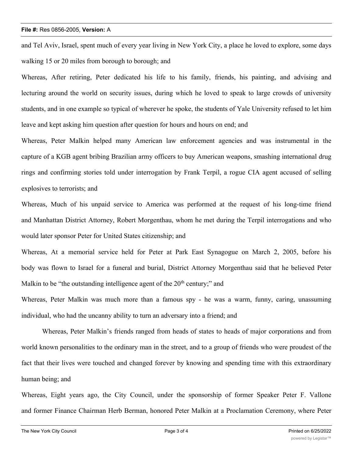## **File #:** Res 0856-2005, **Version:** A

and Tel Aviv, Israel, spent much of every year living in New York City, a place he loved to explore, some days walking 15 or 20 miles from borough to borough; and

Whereas, After retiring, Peter dedicated his life to his family, friends, his painting, and advising and lecturing around the world on security issues, during which he loved to speak to large crowds of university students, and in one example so typical of wherever he spoke, the students of Yale University refused to let him leave and kept asking him question after question for hours and hours on end; and

Whereas, Peter Malkin helped many American law enforcement agencies and was instrumental in the capture of a KGB agent bribing Brazilian army officers to buy American weapons, smashing international drug rings and confirming stories told under interrogation by Frank Terpil, a rogue CIA agent accused of selling explosives to terrorists; and

Whereas, Much of his unpaid service to America was performed at the request of his long-time friend and Manhattan District Attorney, Robert Morgenthau, whom he met during the Terpil interrogations and who would later sponsor Peter for United States citizenship; and

Whereas, At a memorial service held for Peter at Park East Synagogue on March 2, 2005, before his body was flown to Israel for a funeral and burial, District Attorney Morgenthau said that he believed Peter Malkin to be "the outstanding intelligence agent of the  $20<sup>th</sup>$  century;" and

Whereas, Peter Malkin was much more than a famous spy - he was a warm, funny, caring, unassuming individual, who had the uncanny ability to turn an adversary into a friend; and

Whereas, Peter Malkin's friends ranged from heads of states to heads of major corporations and from world known personalities to the ordinary man in the street, and to a group of friends who were proudest of the fact that their lives were touched and changed forever by knowing and spending time with this extraordinary human being; and

Whereas, Eight years ago, the City Council, under the sponsorship of former Speaker Peter F. Vallone and former Finance Chairman Herb Berman, honored Peter Malkin at a Proclamation Ceremony, where Peter